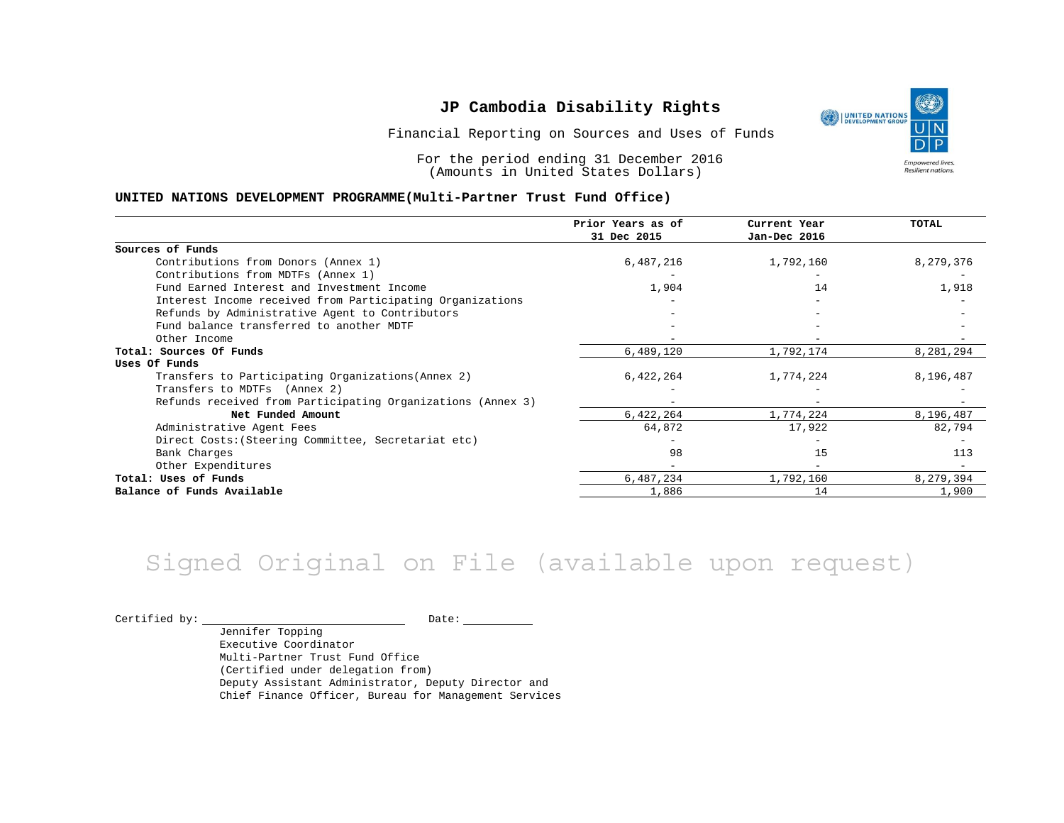Financial Reporting on Sources and Uses of Funds

For the period ending 31 December 2016 (Amounts in United States Dollars)

#### **UNITED NATIONS DEVELOPMENT PROGRAMME(Multi-Partner Trust Fund Office)**

|                                                             | Prior Years as of | Current Year | TOTAL     |
|-------------------------------------------------------------|-------------------|--------------|-----------|
|                                                             | 31 Dec 2015       | Jan-Dec 2016 |           |
| Sources of Funds                                            |                   |              |           |
| Contributions from Donors (Annex 1)                         | 6,487,216         | 1,792,160    | 8,279,376 |
| Contributions from MDTFs (Annex 1)                          |                   |              |           |
| Fund Earned Interest and Investment Income                  | 1,904             | 14           | 1,918     |
| Interest Income received from Participating Organizations   |                   |              |           |
| Refunds by Administrative Agent to Contributors             |                   |              |           |
| Fund balance transferred to another MDTF                    |                   |              |           |
| Other Income                                                |                   |              |           |
| Total: Sources Of Funds                                     | 6,489,120         | 1,792,174    | 8,281,294 |
| Uses Of Funds                                               |                   |              |           |
| Transfers to Participating Organizations (Annex 2)          | 6,422,264         | 1,774,224    | 8,196,487 |
| Transfers to MDTFs (Annex 2)                                |                   |              |           |
| Refunds received from Participating Organizations (Annex 3) |                   |              |           |
| Net Funded Amount                                           | 6,422,264         | 1,774,224    | 8,196,487 |
| Administrative Agent Fees                                   | 64,872            | 17,922       | 82,794    |
| Direct Costs: (Steering Committee, Secretariat etc)         |                   |              |           |
| Bank Charges                                                | 98                | 15           | 113       |
| Other Expenditures                                          |                   |              |           |
| Total: Uses of Funds                                        | 6,487,234         | 1,792,160    | 8,279,394 |
| Balance of Funds Available                                  | 1,886             | 14           | 1,900     |

## Signed Original on File (available upon request)

 $\begin{tabular}{ccccc} \multicolumn{2}{c|}{\text{Certified by:}} & \multicolumn{2}{c|}{\text{Date:}} \end{tabular}$ 

Jennifer Topping Executive Coordinator Multi-Partner Trust Fund Office (Certified under delegation from) Deputy Assistant Administrator, Deputy Director and Chief Finance Officer, Bureau for Management Services

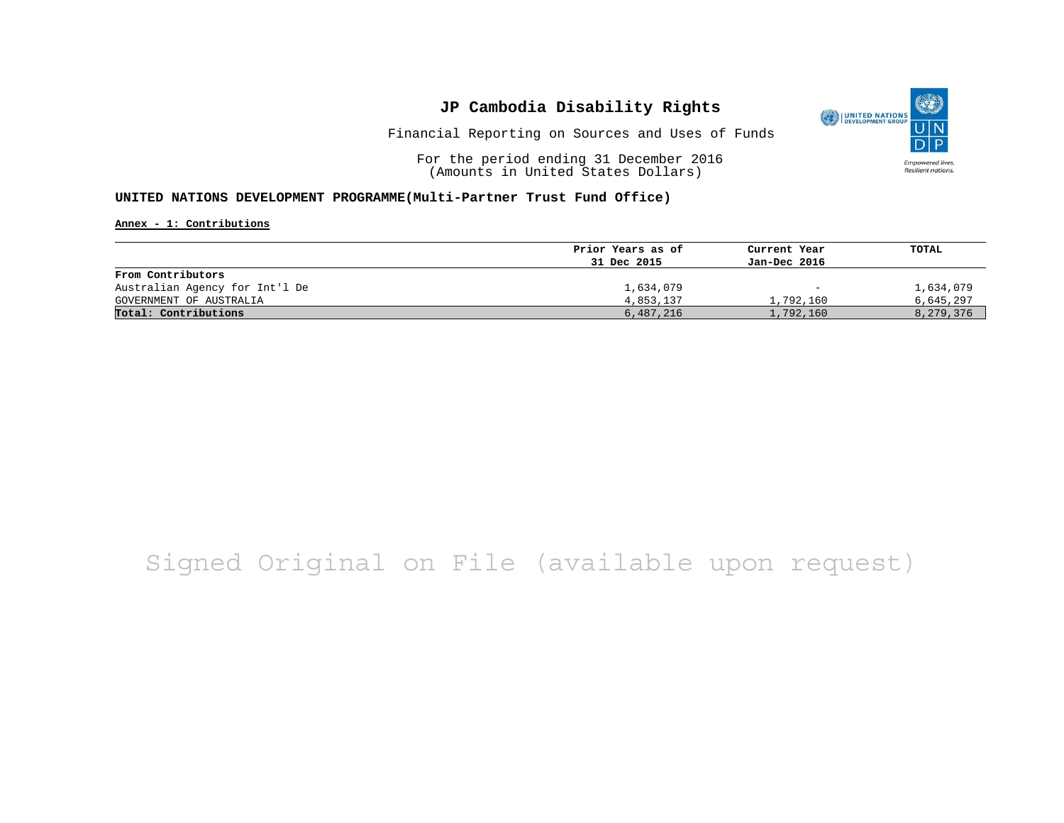

Financial Reporting on Sources and Uses of Funds

For the period ending 31 December 2016 (Amounts in United States Dollars)

### **UNITED NATIONS DEVELOPMENT PROGRAMME(Multi-Partner Trust Fund Office)**

**Annex - 1: Contributions**

|                                | Prior Years as of<br>31 Dec 2015 | Current Year<br>Jan-Dec 2016 | TOTAL     |
|--------------------------------|----------------------------------|------------------------------|-----------|
|                                |                                  |                              |           |
| From Contributors              |                                  |                              |           |
| Australian Agency for Int'l De | 1,634,079                        | $\qquad \qquad \blacksquare$ | 1,634,079 |
| GOVERNMENT OF AUSTRALIA        | 4,853,137                        | 1,792,160                    | 6,645,297 |
| Total: Contributions           | 6,487,216                        | 1,792,160                    | 8,279,376 |

# Signed Original on File (available upon request)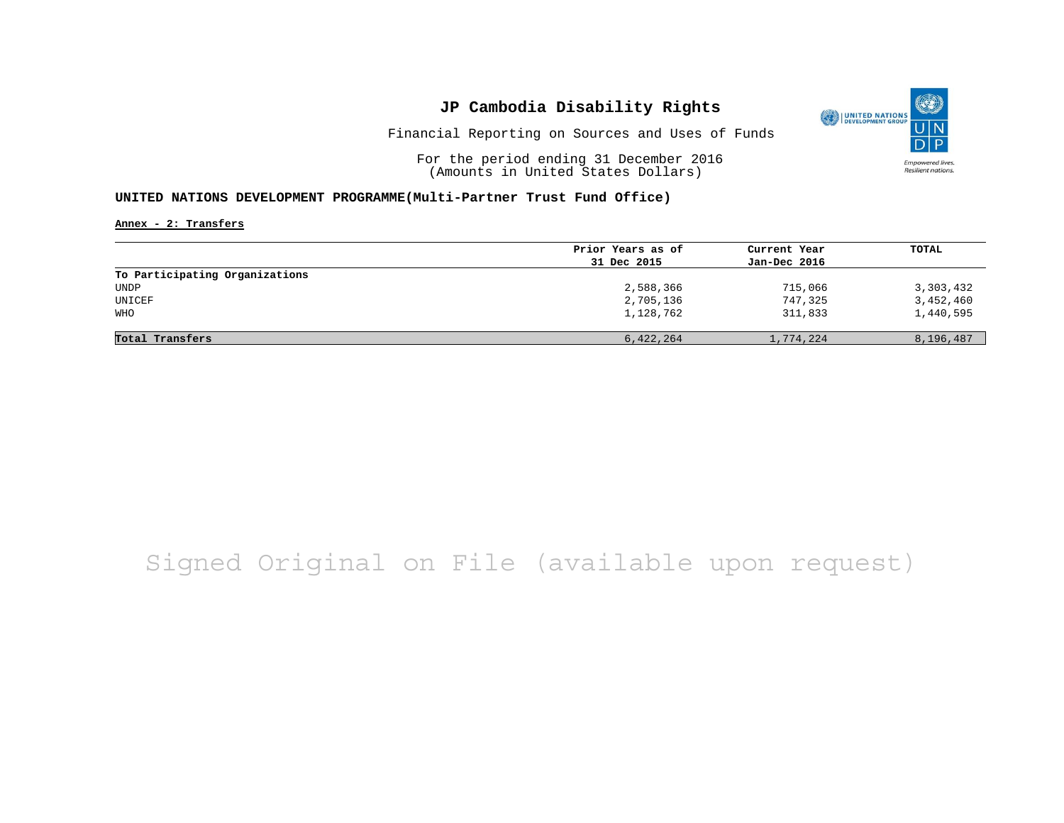

Financial Reporting on Sources and Uses of Funds

For the period ending 31 December 2016 (Amounts in United States Dollars)

### **UNITED NATIONS DEVELOPMENT PROGRAMME(Multi-Partner Trust Fund Office)**

**Annex - 2: Transfers**

|                                | Prior Years as of | Current Year | TOTAL     |
|--------------------------------|-------------------|--------------|-----------|
|                                | 31 Dec 2015       | Jan-Dec 2016 |           |
| To Participating Organizations |                   |              |           |
| UNDP                           | 2,588,366         | 715,066      | 3,303,432 |
| UNICEF                         | 2,705,136         | 747,325      | 3,452,460 |
| WHO                            | 1,128,762         | 311,833      | 1,440,595 |
|                                |                   |              |           |
| Total Transfers                | 6,422,264         | 1,774,224    | 8,196,487 |

## Signed Original on File (available upon request)